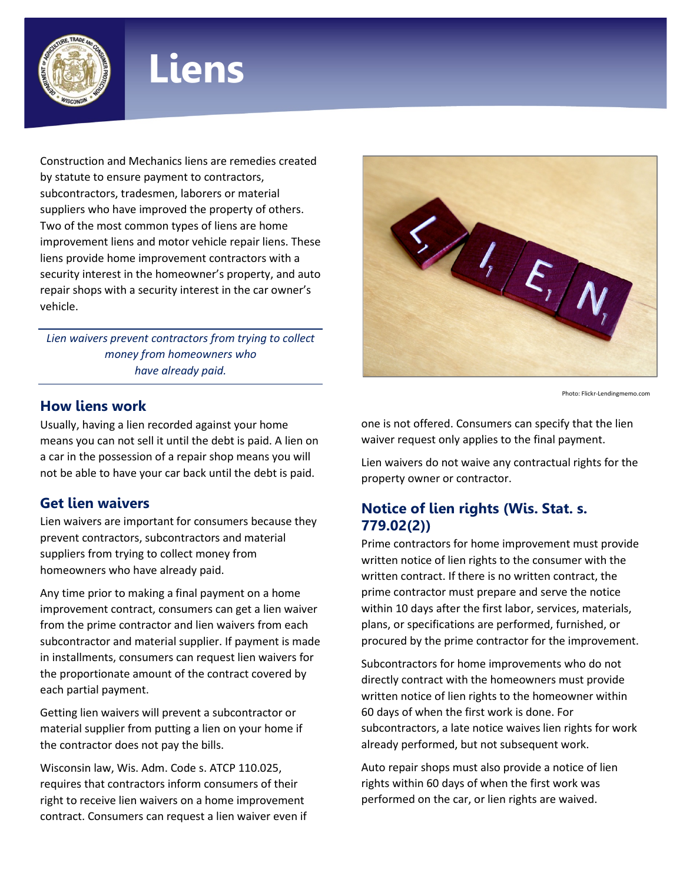

# **Liens**

Construction and Mechanics liens are remedies created by statute to ensure payment to contractors, subcontractors, tradesmen, laborers or material suppliers who have improved the property of others. Two of the most common types of liens are home improvement liens and motor vehicle repair liens. These liens provide home improvement contractors with a security interest in the homeowner's property, and auto repair shops with a security interest in the car owner's vehicle.

*Lien waivers prevent contractors from trying to collect money from homeowners who have already paid.*

#### **How liens work**

Usually, having a lien recorded against your home means you can not sell it until the debt is paid. A lien on a car in the possession of a repair shop means you will not be able to have your car back until the debt is paid.

#### **Get lien waivers**

Lien waivers are important for consumers because they prevent contractors, subcontractors and material suppliers from trying to collect money from homeowners who have already paid.

Any time prior to making a final payment on a home improvement contract, consumers can get a lien waiver from the prime contractor and lien waivers from each subcontractor and material supplier. If payment is made in installments, consumers can request lien waivers for the proportionate amount of the contract covered by each partial payment.

Getting lien waivers will prevent a subcontractor or material supplier from putting a lien on your home if the contractor does not pay the bills.

Wisconsin law, Wis. Adm. Code s. ATCP 110.025, requires that contractors inform consumers of their right to receive lien waivers on a home improvement contract. Consumers can request a lien waiver even if



Photo: Flickr-Lendingmemo.com

one is not offered. Consumers can specify that the lien waiver request only applies to the final payment.

Lien waivers do not waive any contractual rights for the property owner or contractor.

# **Notice of lien rights (Wis. Stat. s. 779.02(2))**

Prime contractors for home improvement must provide written notice of lien rights to the consumer with the written contract. If there is no written contract, the prime contractor must prepare and serve the notice within 10 days after the first labor, services, materials, plans, or specifications are performed, furnished, or procured by the prime contractor for the improvement.

Subcontractors for home improvements who do not directly contract with the homeowners must provide written notice of lien rights to the homeowner within 60 days of when the first work is done. For subcontractors, a late notice waives lien rights for work already performed, but not subsequent work.

Auto repair shops must also provide a notice of lien rights within 60 days of when the first work was performed on the car, or lien rights are waived.